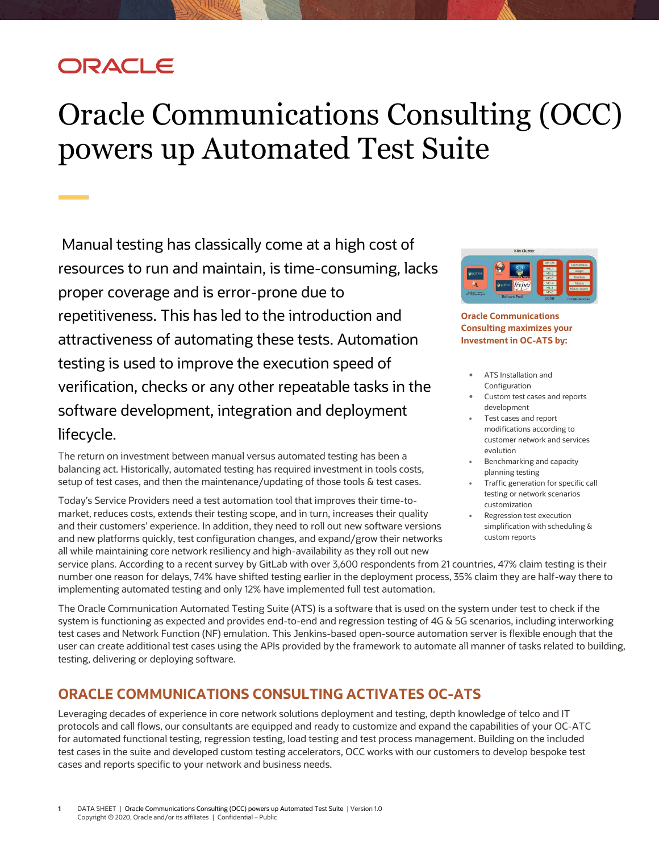## ORACLE

# <span id="page-0-0"></span>Oracle Communications Consulting (OCC) powers up Automated Test Suite

Manual testing has classically come at a high cost of resources to run and maintain, is time-consuming, lacks proper coverage and is error-prone due to repetitiveness. This has led to the introduction and attractiveness of automating these tests. Automation testing is used to improve the execution speed of verification, checks or any other repeatable tasks in the software development, integration and deployment lifecycle.

The return on investment between manual versus automated testing has been a balancing act. Historically, automated testing has required investment in tools costs, setup of test cases, and then the maintenance/updating of those tools & test cases.

Today's Service Providers need a test automation tool that improves their time-tomarket, reduces costs, extends their testing scope, and in turn, increases their quality and their customers' experience. In addition, they need to roll out new software versions and new platforms quickly, test configuration changes, and expand/grow their networks all while maintaining core network resiliency and high-availability as they roll out new



**Oracle Communications Consulting maximizes your Investment in OC-ATS by:**

- ATS Installation and Configuration
- Custom test cases and reports development
- Test cases and report modifications according to customer network and services evolution
- Benchmarking and capacity planning testing
- Traffic generation for specific call testing or network scenarios customization
- Regression test execution simplification with scheduling & custom reports

service plans. According to a recent survey by GitLab with over 3,600 respondents from 21 countries, 47% claim testing is their number one reason for delays, 74% have shifted testing earlier in the deployment process, 35% claim they are half-way there to implementing automated testing and only 12% have implemented full test automation.

The Oracle Communication Automated Testing Suite (ATS) is a software that is used on the system under test to check if the system is functioning as expected and provides end-to-end and regression testing of 4G & 5G scenarios, including interworking test cases and Network Function (NF) emulation. This Jenkins-based open-source automation server is flexible enough that the user can create additional test cases using the APIs provided by the framework to automate all manner of tasks related to building, testing, delivering or deploying software.

### **ORACLE COMMUNICATIONS CONSULTING ACTIVATES OC-ATS**

Leveraging decades of experience in core network solutions deployment and testing, depth knowledge of telco and IT protocols and call flows, our consultants are equipped and ready to customize and expand the capabilities of your OC-ATC for automated functional testing, regression testing, load testing and test process management. Building on the included test cases in the suite and developed custom testing accelerators, OCC works with our customers to develop bespoke test cases and reports specific to your network and business needs.